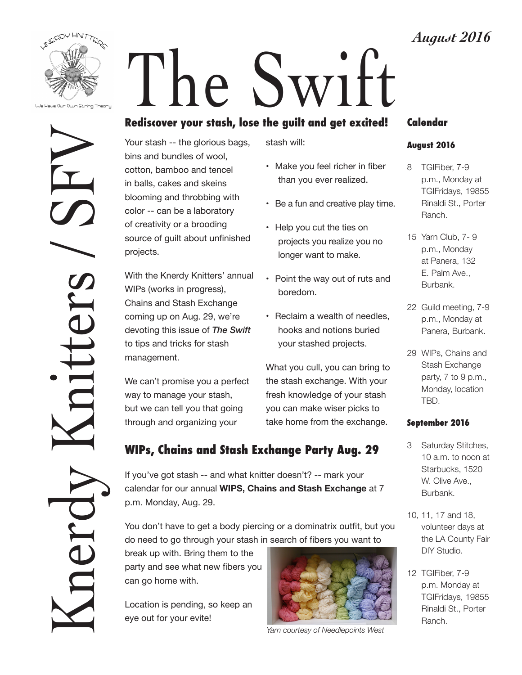

We Have Our Own String Theory

Knerdy Knitters / SFV itters

# The Swift

# **Rediscover your stash, lose the guilt and get excited!**

Your stash -- the glorious bags, bins and bundles of wool, cotton, bamboo and tencel in balls, cakes and skeins blooming and throbbing with color -- can be a laboratory of creativity or a brooding source of guilt about unfinished projects.

With the Knerdy Knitters' annual WIPs (works in progress), Chains and Stash Exchange coming up on Aug. 29, we're devoting this issue of *The Swift* to tips and tricks for stash management.

We can't promise you a perfect way to manage your stash, but we can tell you that going through and organizing your

stash will:

- Make you feel richer in fiber than you ever realized.
- Be a fun and creative play time.
- Help you cut the ties on projects you realize you no longer want to make.
- Point the way out of ruts and boredom.
- Reclaim a wealth of needles, hooks and notions buried your stashed projects.

What you cull, you can bring to the stash exchange. With your fresh knowledge of your stash you can make wiser picks to take home from the exchange.

# **WIPs, Chains and Stash Exchange Party Aug. 29**

If you've got stash -- and what knitter doesn't? -- mark your calendar for our annual **WIPS, Chains and Stash Exchange** at 7 p.m. Monday, Aug. 29.

You don't have to get a body piercing or a dominatrix outfit, but you do need to go through your stash in search of fibers you want to

break up with. Bring them to the party and see what new fibers you can go home with.

Location is pending, so keep an eye out for your evite!



*Yarn courtesy of Needlepoints West*

### **Calendar**

#### **August 2016**

- 8 TGIFiber, 7-9 p.m., Monday at TGIFridays, 19855 Rinaldi St., Porter Ranch.
- 15 Yarn Club, 7- 9 p.m., Monday at Panera, 132 E. Palm Ave., Burbank.
- 22 Guild meeting, 7-9 p.m., Monday at Panera, Burbank.
- 29 WIPs, Chains and Stash Exchange party,  $7$  to  $9$  p.m., Monday, location TBD.

#### **September 2016**

- 3 Saturday Stitches, 10 a.m. to noon at Starbucks, 1520 W. Olive Ave., Burbank.
- 10, 11, 17 and 18, volunteer days at the LA County Fair DIY Studio.
- 12 TGIFiber, 7-9 p.m. Monday at TGIFridays, 19855 Rinaldi St., Porter Ranch.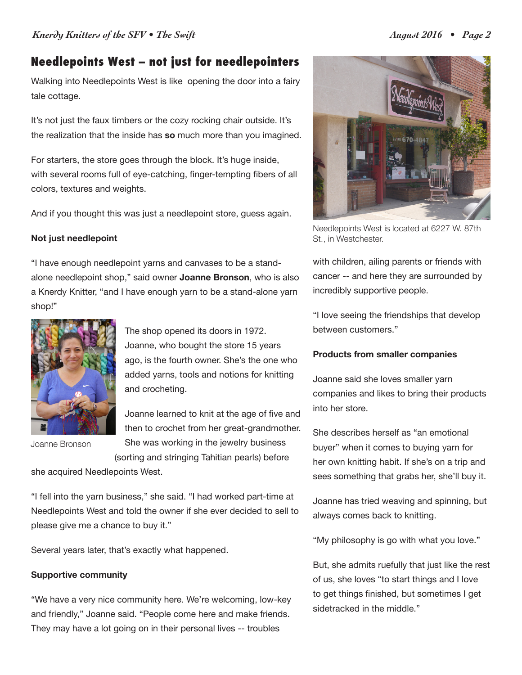# **Needlepoints West -- not just for needlepointers**

Walking into Needlepoints West is like opening the door into a fairy tale cottage.

It's not just the faux timbers or the cozy rocking chair outside. It's the realization that the inside has **so** much more than you imagined.

For starters, the store goes through the block. It's huge inside, with several rooms full of eye-catching, finger-tempting fibers of all colors, textures and weights.

And if you thought this was just a needlepoint store, guess again.

#### **Not just needlepoint**

"I have enough needlepoint yarns and canvases to be a standalone needlepoint shop," said owner **Joanne Bronson**, who is also a Knerdy Knitter, "and I have enough yarn to be a stand-alone yarn shop!"



Joanne Bronson

The shop opened its doors in 1972. Joanne, who bought the store 15 years ago, is the fourth owner. She's the one who added yarns, tools and notions for knitting and crocheting.

Joanne learned to knit at the age of five and then to crochet from her great-grandmother. She was working in the jewelry business (sorting and stringing Tahitian pearls) before

she acquired Needlepoints West.

"I fell into the yarn business," she said. "I had worked part-time at Needlepoints West and told the owner if she ever decided to sell to please give me a chance to buy it."

Several years later, that's exactly what happened.

#### **Supportive community**

"We have a very nice community here. We're welcoming, low-key and friendly," Joanne said. "People come here and make friends. They may have a lot going on in their personal lives -- troubles



Needlepoints West is located at 6227 W. 87th St., in Westchester.

with children, ailing parents or friends with cancer -- and here they are surrounded by incredibly supportive people.

"I love seeing the friendships that develop between customers."

#### **Products from smaller companies**

Joanne said she loves smaller yarn companies and likes to bring their products into her store.

She describes herself as "an emotional buyer" when it comes to buying yarn for her own knitting habit. If she's on a trip and sees something that grabs her, she'll buy it.

Joanne has tried weaving and spinning, but always comes back to knitting.

"My philosophy is go with what you love."

But, she admits ruefully that just like the rest of us, she loves "to start things and I love to get things finished, but sometimes I get sidetracked in the middle."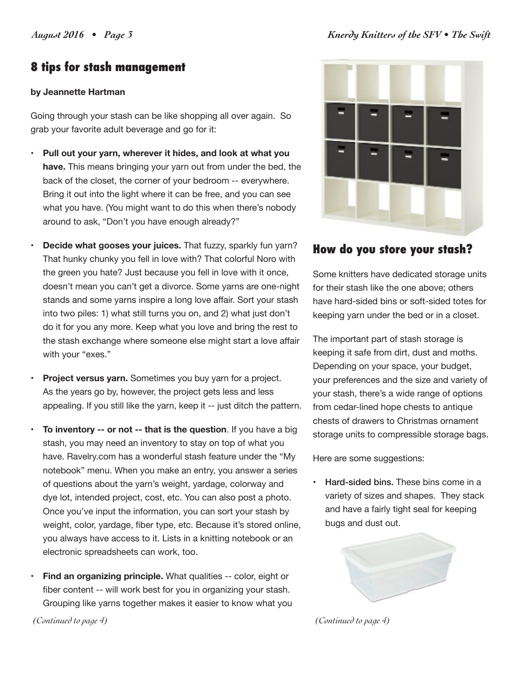# **8 tips for stash management**

#### **by Jeannette Hartman**

Going through your stash can be like shopping all over again. So grab your favorite adult beverage and go for it:

- **Pull out your yarn, wherever it hides, and look at what you have.** This means bringing your yarn out from under the bed, the back of the closet, the corner of your bedroom -- everywhere. Bring it out into the light where it can be free, and you can see what you have. (You might want to do this when there's nobody around to ask, "Don't you have enough already?"
- **Decide what gooses your juices.** That fuzzy, sparkly fun yarn? That hunky chunky you fell in love with? That colorful Noro with the green you hate? Just because you fell in love with it once, doesn't mean you can't get a divorce. Some yarns are one-night stands and some yarns inspire a long love affair. Sort your stash into two piles: 1) what still turns you on, and 2) what just don't do it for you any more. Keep what you love and bring the rest to the stash exchange where someone else might start a love affair with your "exes."
- **Project versus yarn.** Sometimes you buy yarn for a project. As the years go by, however, the project gets less and less appealing. If you still like the yarn, keep it -- just ditch the pattern.
- **To inventory -- or not -- that is the question**. If you have a big stash, you may need an inventory to stay on top of what you have. Ravelry.com has a wonderful stash feature under the "My notebook" menu. When you make an entry, you answer a series of questions about the yarn's weight, yardage, colorway and dye lot, intended project, cost, etc. You can also post a photo. Once you've input the information, you can sort your stash by weight, color, yardage, fiber type, etc. Because it's stored online, you always have access to it. Lists in a knitting notebook or an electronic spreadsheets can work, too.
- **Find an organizing principle.** What qualities -- color, eight or fiber content -- will work best for you in organizing your stash. Grouping like yarns together makes it easier to know what you



## **How do you store your stash?**

Some knitters have dedicated storage units for their stash like the one above; others have hard-sided bins or soft-sided totes for keeping yarn under the bed or in a closet.

The important part of stash storage is keeping it safe from dirt, dust and moths. Depending on your space, your budget, your preferences and the size and variety of your stash, there's a wide range of options from cedar-lined hope chests to antique chests of drawers to Christmas ornament storage units to compressible storage bags.

Here are some suggestions:

• Hard-sided bins. These bins come in a variety of sizes and shapes. They stack and have a fairly tight seal for keeping bugs and dust out.



*(Continued to page 4) (Continued to page 4)*